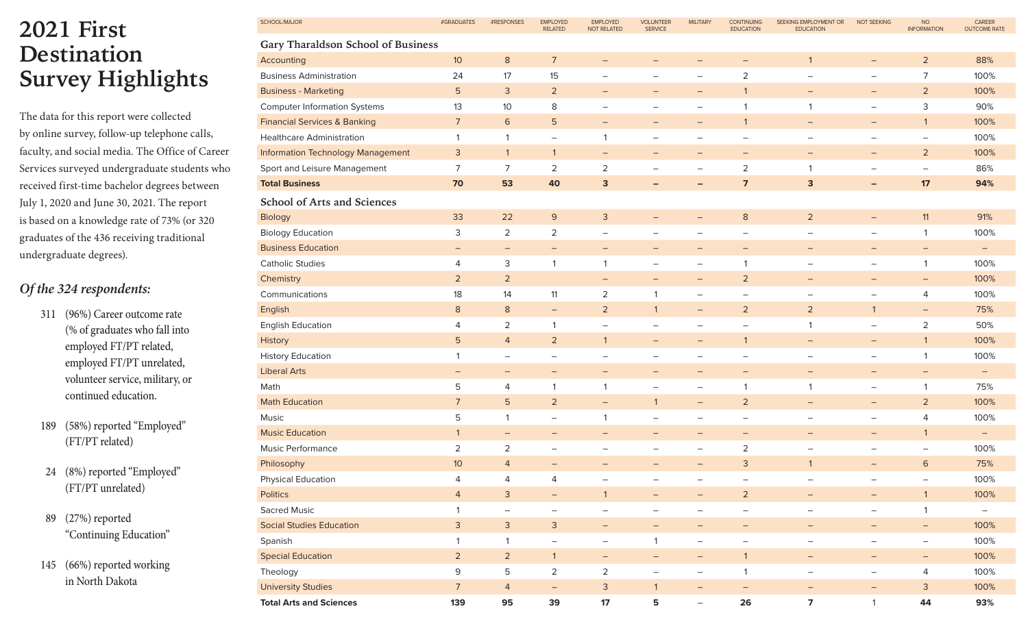## **2021 First Destination Survey Highlights**

The data for this report were collected by online survey, follow-up telephone calls, faculty, and social media. The Office of Career Services surveyed undergraduate students who received first-time bachelor degrees between July 1, 2020 and June 30, 2021. The report is based on a knowledge rate of 73% (or 320 graduates of the 436 receiving traditional undergraduate degrees).

## *Of the 324 respondents:*

311 (96%) Career outcome rate (% of graduates who fall into employed FT/PT related, employed FT/PT unrelated, volunteer service, military, or continued education.

189 (58%) reported "Employed" (FT/PT related)

- 24 (8%) reported "Employed" (FT/PT unrelated)
- 89 (27%) reported "Continuing Education"
- 145 (66%) reported working in North Dakota

| SCHOOL/MAJOR                             | #GRADUATES               | #RESPONSES               | <b>EMPLOYED</b><br><b>RELATED</b> | <b>EMPLOYED</b><br><b>NOT RELATED</b> | <b>VOLUNTEER</b><br><b>SERVICE</b> | <b>MILITARY</b>                 | <b>CONTINUING</b><br><b>EDUCATION</b> | SEEKING EMPLOYMENT OR<br><b>EDUCATION</b> | <b>NOT SEEKING</b>       | <b>NO</b><br><b>INFORMATION</b> | CAREER<br><b>OUTCOME RATE</b> |
|------------------------------------------|--------------------------|--------------------------|-----------------------------------|---------------------------------------|------------------------------------|---------------------------------|---------------------------------------|-------------------------------------------|--------------------------|---------------------------------|-------------------------------|
| Gary Tharaldson School of Business       |                          |                          |                                   |                                       |                                    |                                 |                                       |                                           |                          |                                 |                               |
| Accounting                               | 10 <sup>°</sup>          | $\bf 8$                  | $\overline{7}$                    | $\overline{\phantom{m}}$              | $\qquad \qquad -$                  | $\qquad \qquad -$               | $\overline{\phantom{m}}$              | $\overline{1}$                            | $\overline{\phantom{m}}$ | $\overline{2}$                  | 88%                           |
| <b>Business Administration</b>           | 24                       | 17                       | 15                                | $\overline{\phantom{0}}$              | $\overline{\phantom{0}}$           | $\overbrace{\phantom{1232211}}$ | 2                                     | $\overline{\phantom{0}}$                  | $\equiv$                 | 7                               | 100%                          |
| <b>Business - Marketing</b>              | $\overline{5}$           | 3                        | $\overline{2}$                    | $\overline{\phantom{m}}$              | $\overline{\phantom{m}}$           | $\qquad \qquad -$               | $\mathbf{1}$                          | $\overline{\phantom{m}}$                  | $\overline{\phantom{m}}$ | $\overline{2}$                  | 100%                          |
| <b>Computer Information Systems</b>      | 13                       | 10                       | 8                                 | $\equiv$                              | $\overline{\phantom{0}}$           | $\qquad \qquad -$               | $\mathbf 1$                           | $\mathbf{1}$                              | $\overline{\phantom{m}}$ | $\mathsf 3$                     | 90%                           |
| <b>Financial Services &amp; Banking</b>  | $\sqrt{ }$               | 6                        | $\overline{5}$                    | $\overline{\phantom{m}}$              | -                                  | $\qquad \qquad -$               | $\mathbf{1}$                          | $\qquad \qquad -$                         | $\qquad \qquad -$        | $\mathbf{1}$                    | 100%                          |
| <b>Healthcare Administration</b>         | $\mathbf{1}$             | $\mathbf{1}$             | $\equiv$                          | $\mathbf{1}$                          | -                                  | $\overline{\phantom{m}}$        | $\overline{\phantom{0}}$              | $\qquad \qquad -$                         | $\qquad \qquad -$        | $\overline{\phantom{m}}$        | 100%                          |
| <b>Information Technology Management</b> | 3                        | $\mathbf{1}$             | $\mathbf{1}$                      | $\overline{\phantom{m}}$              | $\qquad \qquad -$                  | $\qquad \qquad -$               | $\overline{\phantom{m}}$              | $\qquad \qquad -$                         | $\overline{\phantom{m}}$ | $\overline{2}$                  | 100%                          |
| Sport and Leisure Management             | $\overline{7}$           | $\overline{7}$           | $\sqrt{2}$                        | $\sqrt{2}$                            | —                                  | $\overline{\phantom{m}}$        | $\overline{2}$                        | $\mathbf{1}$                              | $\qquad \qquad -$        | $\overline{\phantom{m}}$        | 86%                           |
| <b>Total Business</b>                    | 70                       | 53                       | 40                                | $\mathbf{3}$                          | $\qquad \qquad -$                  | $\qquad \qquad -$               | $\overline{7}$                        | 3                                         | $\qquad \qquad -$        | 17                              | 94%                           |
| School of Arts and Sciences              |                          |                          |                                   |                                       |                                    |                                 |                                       |                                           |                          |                                 |                               |
| Biology                                  | 33                       | 22                       | 9                                 | $\mathbf{3}$                          | $\qquad \qquad -$                  | $\qquad \qquad -$               | 8                                     | $\overline{2}$                            | $\overline{\phantom{m}}$ | 11                              | 91%                           |
| <b>Biology Education</b>                 | 3                        | $\overline{a}$           | $\sqrt{2}$                        | $\overline{\phantom{m}}$              | $\overline{\phantom{m}}$           | $\qquad \qquad -$               | $\overline{\phantom{m}}$              | $\overline{\phantom{m}}$                  | $\overline{\phantom{m}}$ | 1                               | 100%                          |
| <b>Business Education</b>                | $\equiv$                 | $\qquad \qquad -$        | $\overline{\phantom{m}}$          | $\overline{\phantom{m}}$              | $\qquad \qquad -$                  | $\qquad \qquad -$               | $\qquad \qquad -$                     | $\qquad \qquad -$                         | $\qquad \qquad -$        | $\qquad \qquad -$               | $\qquad \qquad -$             |
| <b>Catholic Studies</b>                  | 4                        | 3                        | $\mathbf{1}$                      | $\mathbf{1}$                          | $\qquad \qquad -$                  | $\overline{\phantom{m}}$        | $\overline{1}$                        | $\overline{\phantom{m}}$                  | $\overline{\phantom{m}}$ | $\mathbf{1}$                    | 100%                          |
| Chemistry                                | $\overline{2}$           | $\overline{a}$           |                                   | $\qquad \qquad -$                     | $\qquad \qquad -$                  | $\qquad \qquad -$               | $\overline{2}$                        | $\qquad \qquad -$                         | $\qquad \qquad -$        | $\qquad \qquad -$               | 100%                          |
| Communications                           | 18                       | 14                       | 11                                | 2                                     | 1                                  | $\qquad \qquad -$               | $\overline{\phantom{m}}$              | $\qquad \qquad -$                         | $\equiv$                 | 4                               | 100%                          |
| English                                  | $\,8\,$                  | $\bf 8$                  | $\equiv$                          | $\overline{2}$                        | $\mathbf{1}$                       | $\overline{\phantom{m}}$        | $\overline{2}$                        | $\overline{2}$                            | $\mathbf{1}$             | $\overline{\phantom{m}}$        | 75%                           |
| <b>English Education</b>                 | 4                        | 2                        | 1                                 | $\overline{\phantom{m}}$              | $\qquad \qquad -$                  | $\overline{\phantom{m}}$        | $\overline{\phantom{0}}$              | 1                                         | $\overline{\phantom{m}}$ | 2                               | 50%                           |
| History                                  | $5\phantom{.}$           | $\overline{4}$           | $\overline{2}$                    | $\mathbf{1}$                          | $\overline{\phantom{0}}$           | -                               | $\mathbf{1}$                          | $\qquad \qquad -$                         | $\qquad \qquad -$        | $\mathbf{1}$                    | 100%                          |
| <b>History Education</b>                 | 1                        | $\overline{\phantom{m}}$ | $\overline{\phantom{m}}$          | $\overline{\phantom{m}}$              | $\qquad \qquad -$                  | $\qquad \qquad -$               | $\overline{\phantom{0}}$              | $\qquad \qquad -$                         | $\overline{\phantom{m}}$ | $\mathbf{1}$                    | 100%                          |
| <b>Liberal Arts</b>                      | $\overline{\phantom{m}}$ | $\qquad \qquad -$        | $\overline{\phantom{m}}$          | $\overline{\phantom{m}}$              | -                                  | $\qquad \qquad -$               | $\overline{\phantom{m}}$              | $\overline{\phantom{m}}$                  | $\qquad \qquad -$        | $\overline{\phantom{m}}$        |                               |
| Math                                     | 5                        | 4                        | 1                                 | $\mathbf{1}$                          | $\overline{\phantom{m}}$           | $\overline{\phantom{m}}$        | $\overline{1}$                        | $\mathbf{1}$                              | $\overline{\phantom{m}}$ | $\mathbf{1}$                    | 75%                           |
| <b>Math Education</b>                    | $\overline{7}$           | 5                        | $\overline{2}$                    | $\overline{\phantom{m}}$              | $\mathbf{1}$                       | $\qquad \qquad -$               | $\overline{2}$                        | $\qquad \qquad -$                         | $\qquad \qquad -$        | $\overline{2}$                  | 100%                          |
| Music                                    | 5                        | 1                        | $\overline{\phantom{m}}$          | $\overline{1}$                        | $\qquad \qquad -$                  | $\overline{\phantom{m}}$        | $\overline{\phantom{0}}$              | $\overline{\phantom{0}}$                  | $\qquad \qquad -$        | $\overline{4}$                  | 100%                          |
| <b>Music Education</b>                   | $\mathbf{1}$             | $\qquad \qquad -$        | $\overline{\phantom{m}}$          | $\qquad \qquad -$                     | $\qquad \qquad -$                  | $\qquad \qquad -$               | $\qquad \qquad -$                     | $\qquad \qquad -$                         | $\qquad \qquad -$        | $\mathbf{1}$                    | $\qquad \qquad -$             |
| Music Performance                        | 2                        | 2                        | $\overline{\phantom{0}}$          | $\overline{\phantom{0}}$              | $\overline{\phantom{0}}$           | $\overbrace{\phantom{1232211}}$ | 2                                     | $\overline{\phantom{0}}$                  | $\qquad \qquad -$        | $\overline{\phantom{m}}$        | 100%                          |
| Philosophy                               | 10 <sup>°</sup>          | $\overline{4}$           |                                   |                                       | $\overline{\phantom{0}}$           | —                               | 3                                     | $\mathbf{1}$                              | $\qquad \qquad -$        | 6                               | 75%                           |
| <b>Physical Education</b>                | $\overline{4}$           | 4                        | 4                                 | —                                     | —                                  | -                               | $\qquad \qquad -$                     |                                           | -                        | $\overline{\phantom{m}}$        | 100%                          |
| <b>Politics</b>                          | $\overline{4}$           | $\mathsf{3}$             | $\equiv$                          | $\mathbf{1}$                          | -                                  | $\qquad \qquad -$               | $\overline{2}$                        | $\overline{\phantom{m}}$                  | $\overline{\phantom{m}}$ | $\mathbf{1}$                    | 100%                          |
| Sacred Music                             | $\mathbf{1}$             | $\qquad \qquad -$        | $\overline{\phantom{m}}$          | $\overline{\phantom{m}}$              | $\qquad \qquad -$                  | $\qquad \qquad -$               | $\overline{\phantom{m}}$              | $\qquad \qquad -$                         | $\overline{\phantom{m}}$ | $\mathbf{1}$                    | $\overline{\phantom{0}}$      |
| <b>Social Studies Education</b>          | $\mathsf{3}$             | $\mathsf{3}$             | $\mathsf 3$                       | $\overline{\phantom{m}}$              | $-$                                | $\qquad \qquad -$               | $\overline{\phantom{m}}$              | $-$                                       | $\overline{\phantom{m}}$ | $\overline{\phantom{m}}$        | 100%                          |
| Spanish                                  | $\mathbf{1}$             | $\mathbf{1}$             | $\overline{\phantom{m}}$          | $\overline{\phantom{m}}$              | $\mathbf{1}$                       | $\qquad \qquad -$               | $\overline{\phantom{m}}$              | $\qquad \qquad -$                         | $\overline{\phantom{m}}$ | $\overline{\phantom{m}}$        | 100%                          |
| <b>Special Education</b>                 | $\overline{2}$           | $\overline{2}$           | $\mathbf{1}$                      | $\overline{\phantom{m}}$              | $-$                                | $\overline{\phantom{0}}$        | $\mathbf{1}$                          | $-$                                       | $\overline{\phantom{m}}$ | $\overline{\phantom{m}}$        | 100%                          |
| Theology                                 | 9                        | 5                        | $\overline{2}$                    | $\overline{2}$                        | $\overline{\phantom{a}}$           | $\qquad \qquad -$               | $\mathbf{1}$                          | $\qquad \qquad -$                         | $\overline{\phantom{m}}$ | 4                               | 100%                          |
| <b>University Studies</b>                | $\overline{7}$           | $\overline{4}$           | $\equiv$                          | $\mathsf{3}$                          | $\mathbf{1}$                       | $\equiv$                        | $\overline{\phantom{m}}$              | $\overline{\phantom{0}}$                  | $\overline{\phantom{m}}$ | $\mathsf{3}$                    | 100%                          |
| <b>Total Arts and Sciences</b>           | 139                      | 95                       | 39                                | $17$                                  | 5                                  | $\qquad \qquad -$               | 26                                    | $\overline{7}$                            | $\mathbf{1}$             | 44                              | 93%                           |
|                                          |                          |                          |                                   |                                       |                                    |                                 |                                       |                                           |                          |                                 |                               |